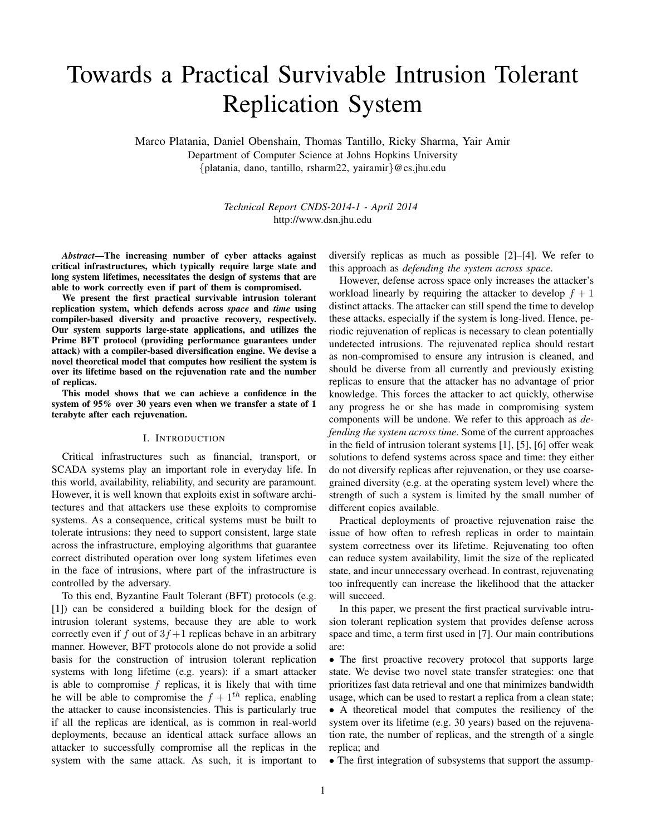# Towards a Practical Survivable Intrusion Tolerant Replication System

Marco Platania, Daniel Obenshain, Thomas Tantillo, Ricky Sharma, Yair Amir Department of Computer Science at Johns Hopkins University {platania, dano, tantillo, rsharm22, yairamir}@cs.jhu.edu

> *Technical Report CNDS-2014-1 - April 2014* http://www.dsn.jhu.edu

*Abstract*—The increasing number of cyber attacks against critical infrastructures, which typically require large state and long system lifetimes, necessitates the design of systems that are able to work correctly even if part of them is compromised.

We present the first practical survivable intrusion tolerant replication system, which defends across *space* and *time* using compiler-based diversity and proactive recovery, respectively. Our system supports large-state applications, and utilizes the Prime BFT protocol (providing performance guarantees under attack) with a compiler-based diversification engine. We devise a novel theoretical model that computes how resilient the system is over its lifetime based on the rejuvenation rate and the number of replicas.

This model shows that we can achieve a confidence in the system of 95% over 30 years even when we transfer a state of 1 terabyte after each rejuvenation.

# I. INTRODUCTION

Critical infrastructures such as financial, transport, or SCADA systems play an important role in everyday life. In this world, availability, reliability, and security are paramount. However, it is well known that exploits exist in software architectures and that attackers use these exploits to compromise systems. As a consequence, critical systems must be built to tolerate intrusions: they need to support consistent, large state across the infrastructure, employing algorithms that guarantee correct distributed operation over long system lifetimes even in the face of intrusions, where part of the infrastructure is controlled by the adversary.

To this end, Byzantine Fault Tolerant (BFT) protocols (e.g. [1]) can be considered a building block for the design of intrusion tolerant systems, because they are able to work correctly even if f out of  $3f+1$  replicas behave in an arbitrary manner. However, BFT protocols alone do not provide a solid basis for the construction of intrusion tolerant replication systems with long lifetime (e.g. years): if a smart attacker is able to compromise  $f$  replicas, it is likely that with time he will be able to compromise the  $f + 1<sup>th</sup>$  replica, enabling the attacker to cause inconsistencies. This is particularly true if all the replicas are identical, as is common in real-world deployments, because an identical attack surface allows an attacker to successfully compromise all the replicas in the system with the same attack. As such, it is important to

diversify replicas as much as possible [2]–[4]. We refer to this approach as *defending the system across space*.

However, defense across space only increases the attacker's workload linearly by requiring the attacker to develop  $f + 1$ distinct attacks. The attacker can still spend the time to develop these attacks, especially if the system is long-lived. Hence, periodic rejuvenation of replicas is necessary to clean potentially undetected intrusions. The rejuvenated replica should restart as non-compromised to ensure any intrusion is cleaned, and should be diverse from all currently and previously existing replicas to ensure that the attacker has no advantage of prior knowledge. This forces the attacker to act quickly, otherwise any progress he or she has made in compromising system components will be undone. We refer to this approach as *defending the system across time*. Some of the current approaches in the field of intrusion tolerant systems [1], [5], [6] offer weak solutions to defend systems across space and time: they either do not diversify replicas after rejuvenation, or they use coarsegrained diversity (e.g. at the operating system level) where the strength of such a system is limited by the small number of different copies available.

Practical deployments of proactive rejuvenation raise the issue of how often to refresh replicas in order to maintain system correctness over its lifetime. Rejuvenating too often can reduce system availability, limit the size of the replicated state, and incur unnecessary overhead. In contrast, rejuvenating too infrequently can increase the likelihood that the attacker will succeed.

In this paper, we present the first practical survivable intrusion tolerant replication system that provides defense across space and time, a term first used in [7]. Our main contributions are:

• The first proactive recovery protocol that supports large state. We devise two novel state transfer strategies: one that prioritizes fast data retrieval and one that minimizes bandwidth usage, which can be used to restart a replica from a clean state; • A theoretical model that computes the resiliency of the system over its lifetime (e.g. 30 years) based on the rejuvenation rate, the number of replicas, and the strength of a single replica; and

• The first integration of subsystems that support the assump-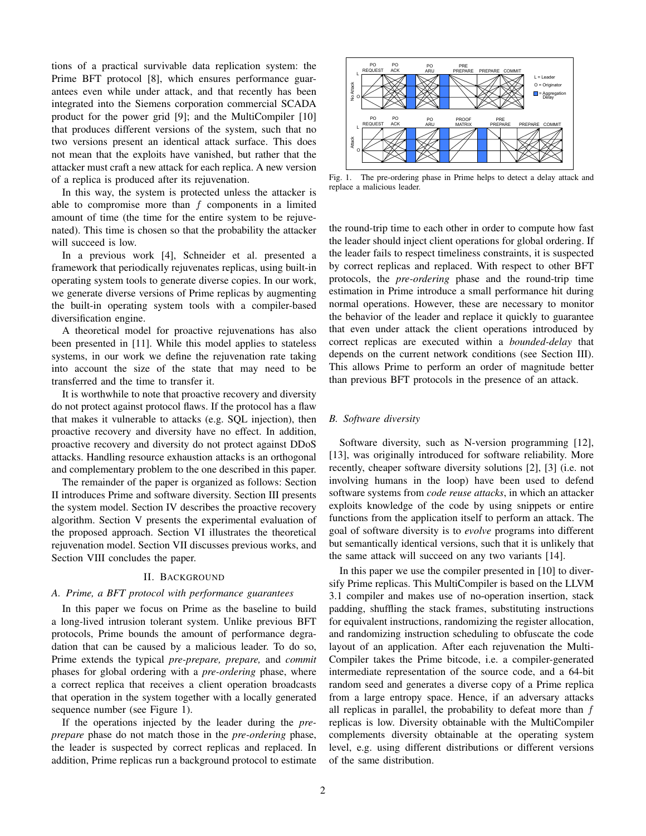tions of a practical survivable data replication system: the Prime BFT protocol [8], which ensures performance guarantees even while under attack, and that recently has been integrated into the Siemens corporation commercial SCADA product for the power grid [9]; and the MultiCompiler [10] that produces different versions of the system, such that no two versions present an identical attack surface. This does not mean that the exploits have vanished, but rather that the attacker must craft a new attack for each replica. A new version of a replica is produced after its rejuvenation.

In this way, the system is protected unless the attacker is able to compromise more than  $f$  components in a limited amount of time (the time for the entire system to be rejuvenated). This time is chosen so that the probability the attacker will succeed is low.

In a previous work [4], Schneider et al. presented a framework that periodically rejuvenates replicas, using built-in operating system tools to generate diverse copies. In our work, we generate diverse versions of Prime replicas by augmenting the built-in operating system tools with a compiler-based diversification engine.

A theoretical model for proactive rejuvenations has also been presented in [11]. While this model applies to stateless systems, in our work we define the rejuvenation rate taking into account the size of the state that may need to be transferred and the time to transfer it.

It is worthwhile to note that proactive recovery and diversity do not protect against protocol flaws. If the protocol has a flaw that makes it vulnerable to attacks (e.g. SQL injection), then proactive recovery and diversity have no effect. In addition, proactive recovery and diversity do not protect against DDoS attacks. Handling resource exhaustion attacks is an orthogonal and complementary problem to the one described in this paper.

The remainder of the paper is organized as follows: Section II introduces Prime and software diversity. Section III presents the system model. Section IV describes the proactive recovery algorithm. Section V presents the experimental evaluation of the proposed approach. Section VI illustrates the theoretical rejuvenation model. Section VII discusses previous works, and Section VIII concludes the paper.

# II. BACKGROUND

# *A. Prime, a BFT protocol with performance guarantees*

In this paper we focus on Prime as the baseline to build a long-lived intrusion tolerant system. Unlike previous BFT protocols, Prime bounds the amount of performance degradation that can be caused by a malicious leader. To do so, Prime extends the typical *pre-prepare, prepare,* and *commit* phases for global ordering with a *pre-ordering* phase, where a correct replica that receives a client operation broadcasts that operation in the system together with a locally generated sequence number (see Figure 1).

If the operations injected by the leader during the *preprepare* phase do not match those in the *pre-ordering* phase, the leader is suspected by correct replicas and replaced. In addition, Prime replicas run a background protocol to estimate



Fig. 1. The pre-ordering phase in Prime helps to detect a delay attack and replace a malicious leader.

the round-trip time to each other in order to compute how fast the leader should inject client operations for global ordering. If the leader fails to respect timeliness constraints, it is suspected by correct replicas and replaced. With respect to other BFT protocols, the *pre-ordering* phase and the round-trip time estimation in Prime introduce a small performance hit during normal operations. However, these are necessary to monitor the behavior of the leader and replace it quickly to guarantee that even under attack the client operations introduced by correct replicas are executed within a *bounded-delay* that depends on the current network conditions (see Section III). This allows Prime to perform an order of magnitude better than previous BFT protocols in the presence of an attack.

# *B. Software diversity*

Software diversity, such as N-version programming [12], [13], was originally introduced for software reliability. More recently, cheaper software diversity solutions [2], [3] (i.e. not involving humans in the loop) have been used to defend software systems from *code reuse attacks*, in which an attacker exploits knowledge of the code by using snippets or entire functions from the application itself to perform an attack. The goal of software diversity is to *evolve* programs into different but semantically identical versions, such that it is unlikely that the same attack will succeed on any two variants [14].

In this paper we use the compiler presented in [10] to diversify Prime replicas. This MultiCompiler is based on the LLVM 3.1 compiler and makes use of no-operation insertion, stack padding, shuffling the stack frames, substituting instructions for equivalent instructions, randomizing the register allocation, and randomizing instruction scheduling to obfuscate the code layout of an application. After each rejuvenation the Multi-Compiler takes the Prime bitcode, i.e. a compiler-generated intermediate representation of the source code, and a 64-bit random seed and generates a diverse copy of a Prime replica from a large entropy space. Hence, if an adversary attacks all replicas in parallel, the probability to defeat more than f replicas is low. Diversity obtainable with the MultiCompiler complements diversity obtainable at the operating system level, e.g. using different distributions or different versions of the same distribution.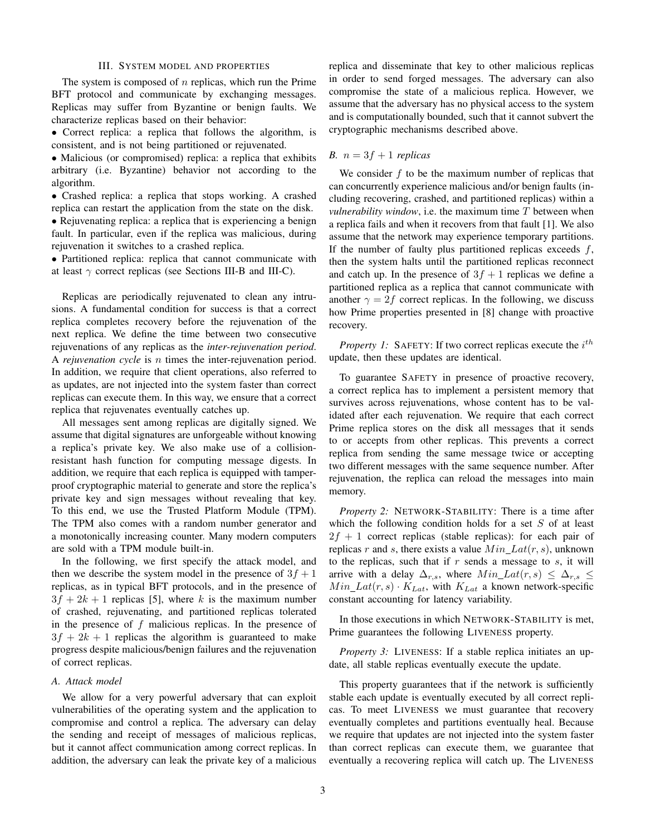### III. SYSTEM MODEL AND PROPERTIES

The system is composed of  $n$  replicas, which run the Prime BFT protocol and communicate by exchanging messages. Replicas may suffer from Byzantine or benign faults. We characterize replicas based on their behavior:

• Correct replica: a replica that follows the algorithm, is consistent, and is not being partitioned or rejuvenated.

• Malicious (or compromised) replica: a replica that exhibits arbitrary (i.e. Byzantine) behavior not according to the algorithm.

• Crashed replica: a replica that stops working. A crashed replica can restart the application from the state on the disk.

• Rejuvenating replica: a replica that is experiencing a benign fault. In particular, even if the replica was malicious, during rejuvenation it switches to a crashed replica.

• Partitioned replica: replica that cannot communicate with at least  $\gamma$  correct replicas (see Sections III-B and III-C).

Replicas are periodically rejuvenated to clean any intrusions. A fundamental condition for success is that a correct replica completes recovery before the rejuvenation of the next replica. We define the time between two consecutive rejuvenations of any replicas as the *inter-rejuvenation period*. A *rejuvenation cycle* is n times the inter-rejuvenation period. In addition, we require that client operations, also referred to as updates, are not injected into the system faster than correct replicas can execute them. In this way, we ensure that a correct replica that rejuvenates eventually catches up.

All messages sent among replicas are digitally signed. We assume that digital signatures are unforgeable without knowing a replica's private key. We also make use of a collisionresistant hash function for computing message digests. In addition, we require that each replica is equipped with tamperproof cryptographic material to generate and store the replica's private key and sign messages without revealing that key. To this end, we use the Trusted Platform Module (TPM). The TPM also comes with a random number generator and a monotonically increasing counter. Many modern computers are sold with a TPM module built-in.

In the following, we first specify the attack model, and then we describe the system model in the presence of  $3f + 1$ replicas, as in typical BFT protocols, and in the presence of  $3f + 2k + 1$  replicas [5], where k is the maximum number of crashed, rejuvenating, and partitioned replicas tolerated in the presence of  $f$  malicious replicas. In the presence of  $3f + 2k + 1$  replicas the algorithm is guaranteed to make progress despite malicious/benign failures and the rejuvenation of correct replicas.

#### *A. Attack model*

We allow for a very powerful adversary that can exploit vulnerabilities of the operating system and the application to compromise and control a replica. The adversary can delay the sending and receipt of messages of malicious replicas, but it cannot affect communication among correct replicas. In addition, the adversary can leak the private key of a malicious replica and disseminate that key to other malicious replicas in order to send forged messages. The adversary can also compromise the state of a malicious replica. However, we assume that the adversary has no physical access to the system and is computationally bounded, such that it cannot subvert the cryptographic mechanisms described above.

# *B.*  $n = 3f + 1$  *replicas*

We consider  $f$  to be the maximum number of replicas that can concurrently experience malicious and/or benign faults (including recovering, crashed, and partitioned replicas) within a *vulnerability window*, i.e. the maximum time T between when a replica fails and when it recovers from that fault [1]. We also assume that the network may experience temporary partitions. If the number of faulty plus partitioned replicas exceeds  $f$ , then the system halts until the partitioned replicas reconnect and catch up. In the presence of  $3f + 1$  replicas we define a partitioned replica as a replica that cannot communicate with another  $\gamma = 2f$  correct replicas. In the following, we discuss how Prime properties presented in [8] change with proactive recovery.

*Property 1:* SAFETY: If two correct replicas execute the  $i^{th}$ update, then these updates are identical.

To guarantee SAFETY in presence of proactive recovery, a correct replica has to implement a persistent memory that survives across rejuvenations, whose content has to be validated after each rejuvenation. We require that each correct Prime replica stores on the disk all messages that it sends to or accepts from other replicas. This prevents a correct replica from sending the same message twice or accepting two different messages with the same sequence number. After rejuvenation, the replica can reload the messages into main memory.

*Property 2:* NETWORK-STABILITY: There is a time after which the following condition holds for a set  $S$  of at least  $2f + 1$  correct replicas (stable replicas): for each pair of replicas r and s, there exists a value  $Min\_Lat(r, s)$ , unknown to the replicas, such that if  $r$  sends a message to  $s$ , it will arrive with a delay  $\Delta_{r,s}$ , where  $Min\_Lat(r, s) \leq \Delta_{r,s} \leq$  $Min\_Lat(r, s) \cdot K_{Lat}$ , with  $K_{Lat}$  a known network-specific constant accounting for latency variability.

In those executions in which NETWORK-STABILITY is met, Prime guarantees the following LIVENESS property.

*Property 3:* LIVENESS: If a stable replica initiates an update, all stable replicas eventually execute the update.

This property guarantees that if the network is sufficiently stable each update is eventually executed by all correct replicas. To meet LIVENESS we must guarantee that recovery eventually completes and partitions eventually heal. Because we require that updates are not injected into the system faster than correct replicas can execute them, we guarantee that eventually a recovering replica will catch up. The LIVENESS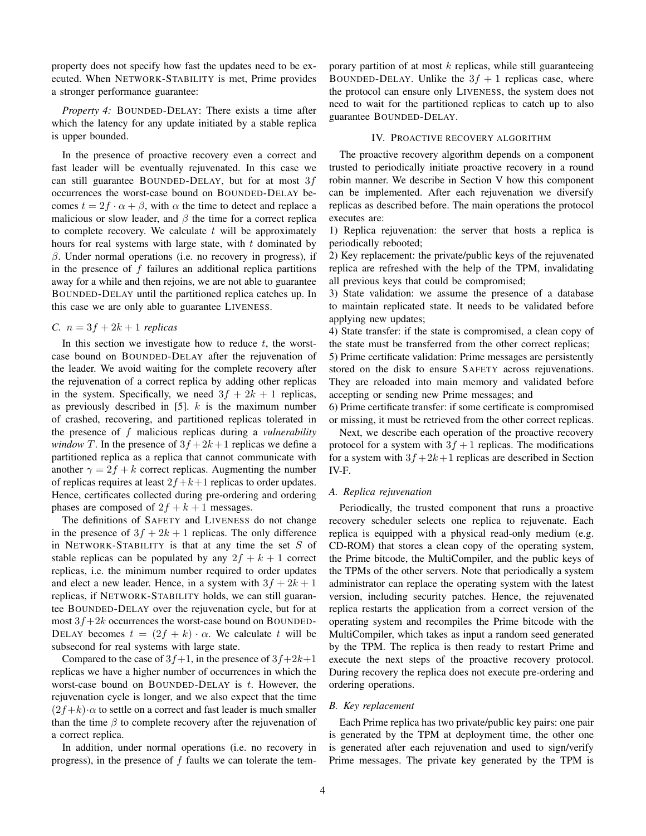property does not specify how fast the updates need to be executed. When NETWORK-STABILITY is met, Prime provides a stronger performance guarantee:

*Property 4:* BOUNDED-DELAY: There exists a time after which the latency for any update initiated by a stable replica is upper bounded.

In the presence of proactive recovery even a correct and fast leader will be eventually rejuvenated. In this case we can still guarantee BOUNDED-DELAY, but for at most  $3f$ occurrences the worst-case bound on BOUNDED-DELAY becomes  $t = 2f \cdot \alpha + \beta$ , with  $\alpha$  the time to detect and replace a malicious or slow leader, and  $\beta$  the time for a correct replica to complete recovery. We calculate  $t$  will be approximately hours for real systems with large state, with  $t$  dominated by  $β$ . Under normal operations (i.e. no recovery in progress), if in the presence of  $f$  failures an additional replica partitions away for a while and then rejoins, we are not able to guarantee BOUNDED-DELAY until the partitioned replica catches up. In this case we are only able to guarantee LIVENESS.

# *C.*  $n = 3f + 2k + 1$  *replicas*

In this section we investigate how to reduce  $t$ , the worstcase bound on BOUNDED-DELAY after the rejuvenation of the leader. We avoid waiting for the complete recovery after the rejuvenation of a correct replica by adding other replicas in the system. Specifically, we need  $3f + 2k + 1$  replicas, as previously described in  $[5]$ .  $k$  is the maximum number of crashed, recovering, and partitioned replicas tolerated in the presence of f malicious replicas during a *vulnerability window* T. In the presence of  $3f + 2k + 1$  replicas we define a partitioned replica as a replica that cannot communicate with another  $\gamma = 2f + k$  correct replicas. Augmenting the number of replicas requires at least  $2f+k+1$  replicas to order updates. Hence, certificates collected during pre-ordering and ordering phases are composed of  $2f + k + 1$  messages.

The definitions of SAFETY and LIVENESS do not change in the presence of  $3f + 2k + 1$  replicas. The only difference in NETWORK-STABILITY is that at any time the set  $S$  of stable replicas can be populated by any  $2f + k + 1$  correct replicas, i.e. the minimum number required to order updates and elect a new leader. Hence, in a system with  $3f + 2k + 1$ replicas, if NETWORK-STABILITY holds, we can still guarantee BOUNDED-DELAY over the rejuvenation cycle, but for at most  $3f+2k$  occurrences the worst-case bound on BOUNDED-DELAY becomes  $t = (2f + k) \cdot \alpha$ . We calculate t will be subsecond for real systems with large state.

Compared to the case of  $3f+1$ , in the presence of  $3f+2k+1$ replicas we have a higher number of occurrences in which the worst-case bound on BOUNDED-DELAY is  $t$ . However, the rejuvenation cycle is longer, and we also expect that the time  $(2f+k)\alpha$  to settle on a correct and fast leader is much smaller than the time  $\beta$  to complete recovery after the rejuvenation of a correct replica.

In addition, under normal operations (i.e. no recovery in progress), in the presence of  $f$  faults we can tolerate the temporary partition of at most  $k$  replicas, while still guaranteeing BOUNDED-DELAY. Unlike the  $3f + 1$  replicas case, where the protocol can ensure only LIVENESS, the system does not need to wait for the partitioned replicas to catch up to also guarantee BOUNDED-DELAY.

## IV. PROACTIVE RECOVERY ALGORITHM

The proactive recovery algorithm depends on a component trusted to periodically initiate proactive recovery in a round robin manner. We describe in Section V how this component can be implemented. After each rejuvenation we diversify replicas as described before. The main operations the protocol executes are:

1) Replica rejuvenation: the server that hosts a replica is periodically rebooted;

2) Key replacement: the private/public keys of the rejuvenated replica are refreshed with the help of the TPM, invalidating all previous keys that could be compromised;

3) State validation: we assume the presence of a database to maintain replicated state. It needs to be validated before applying new updates;

4) State transfer: if the state is compromised, a clean copy of the state must be transferred from the other correct replicas; 5) Prime certificate validation: Prime messages are persistently stored on the disk to ensure SAFETY across rejuvenations. They are reloaded into main memory and validated before accepting or sending new Prime messages; and

6) Prime certificate transfer: if some certificate is compromised or missing, it must be retrieved from the other correct replicas.

Next, we describe each operation of the proactive recovery protocol for a system with  $3f + 1$  replicas. The modifications for a system with  $3f + 2k + 1$  replicas are described in Section IV-F.

## *A. Replica rejuvenation*

Periodically, the trusted component that runs a proactive recovery scheduler selects one replica to rejuvenate. Each replica is equipped with a physical read-only medium (e.g. CD-ROM) that stores a clean copy of the operating system, the Prime bitcode, the MultiCompiler, and the public keys of the TPMs of the other servers. Note that periodically a system administrator can replace the operating system with the latest version, including security patches. Hence, the rejuvenated replica restarts the application from a correct version of the operating system and recompiles the Prime bitcode with the MultiCompiler, which takes as input a random seed generated by the TPM. The replica is then ready to restart Prime and execute the next steps of the proactive recovery protocol. During recovery the replica does not execute pre-ordering and ordering operations.

#### *B. Key replacement*

Each Prime replica has two private/public key pairs: one pair is generated by the TPM at deployment time, the other one is generated after each rejuvenation and used to sign/verify Prime messages. The private key generated by the TPM is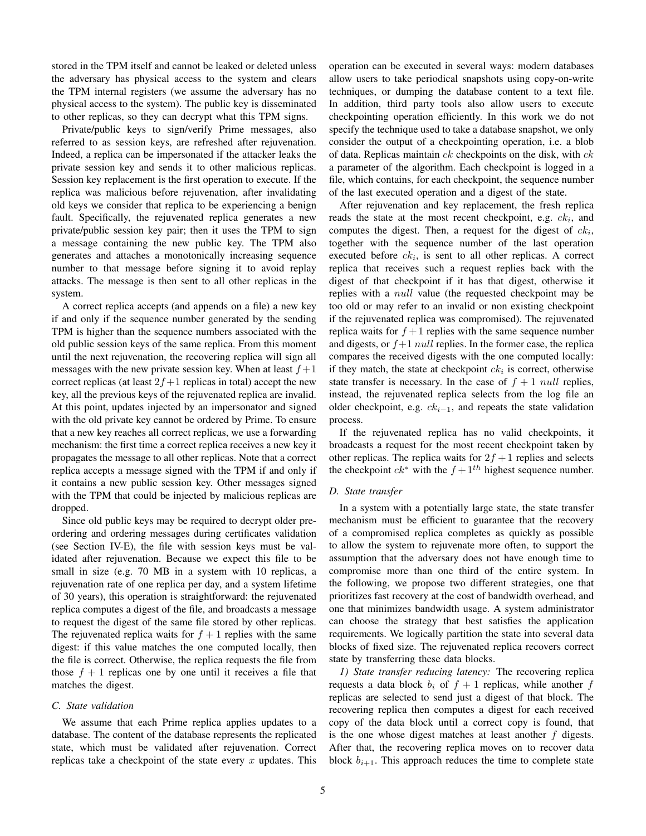stored in the TPM itself and cannot be leaked or deleted unless the adversary has physical access to the system and clears the TPM internal registers (we assume the adversary has no physical access to the system). The public key is disseminated to other replicas, so they can decrypt what this TPM signs.

Private/public keys to sign/verify Prime messages, also referred to as session keys, are refreshed after rejuvenation. Indeed, a replica can be impersonated if the attacker leaks the private session key and sends it to other malicious replicas. Session key replacement is the first operation to execute. If the replica was malicious before rejuvenation, after invalidating old keys we consider that replica to be experiencing a benign fault. Specifically, the rejuvenated replica generates a new private/public session key pair; then it uses the TPM to sign a message containing the new public key. The TPM also generates and attaches a monotonically increasing sequence number to that message before signing it to avoid replay attacks. The message is then sent to all other replicas in the system.

A correct replica accepts (and appends on a file) a new key if and only if the sequence number generated by the sending TPM is higher than the sequence numbers associated with the old public session keys of the same replica. From this moment until the next rejuvenation, the recovering replica will sign all messages with the new private session key. When at least  $f+1$ correct replicas (at least  $2f+1$  replicas in total) accept the new key, all the previous keys of the rejuvenated replica are invalid. At this point, updates injected by an impersonator and signed with the old private key cannot be ordered by Prime. To ensure that a new key reaches all correct replicas, we use a forwarding mechanism: the first time a correct replica receives a new key it propagates the message to all other replicas. Note that a correct replica accepts a message signed with the TPM if and only if it contains a new public session key. Other messages signed with the TPM that could be injected by malicious replicas are dropped.

Since old public keys may be required to decrypt older preordering and ordering messages during certificates validation (see Section IV-E), the file with session keys must be validated after rejuvenation. Because we expect this file to be small in size (e.g. 70 MB in a system with 10 replicas, a rejuvenation rate of one replica per day, and a system lifetime of 30 years), this operation is straightforward: the rejuvenated replica computes a digest of the file, and broadcasts a message to request the digest of the same file stored by other replicas. The rejuvenated replica waits for  $f + 1$  replies with the same digest: if this value matches the one computed locally, then the file is correct. Otherwise, the replica requests the file from those  $f + 1$  replicas one by one until it receives a file that matches the digest.

#### *C. State validation*

We assume that each Prime replica applies updates to a database. The content of the database represents the replicated state, which must be validated after rejuvenation. Correct replicas take a checkpoint of the state every  $x$  updates. This operation can be executed in several ways: modern databases allow users to take periodical snapshots using copy-on-write techniques, or dumping the database content to a text file. In addition, third party tools also allow users to execute checkpointing operation efficiently. In this work we do not specify the technique used to take a database snapshot, we only consider the output of a checkpointing operation, i.e. a blob of data. Replicas maintain  $ck$  checkpoints on the disk, with  $ck$ a parameter of the algorithm. Each checkpoint is logged in a file, which contains, for each checkpoint, the sequence number of the last executed operation and a digest of the state.

After rejuvenation and key replacement, the fresh replica reads the state at the most recent checkpoint, e.g.  $ck<sub>i</sub>$ , and computes the digest. Then, a request for the digest of  $ck<sub>i</sub>$ , together with the sequence number of the last operation executed before  $ck_i$ , is sent to all other replicas. A correct replica that receives such a request replies back with the digest of that checkpoint if it has that digest, otherwise it replies with a null value (the requested checkpoint may be too old or may refer to an invalid or non existing checkpoint if the rejuvenated replica was compromised). The rejuvenated replica waits for  $f + 1$  replies with the same sequence number and digests, or  $f+1$  *null* replies. In the former case, the replica compares the received digests with the one computed locally: if they match, the state at checkpoint  $ck<sub>i</sub>$  is correct, otherwise state transfer is necessary. In the case of  $f + 1$  null replies, instead, the rejuvenated replica selects from the log file an older checkpoint, e.g.  $ck_{i-1}$ , and repeats the state validation process.

If the rejuvenated replica has no valid checkpoints, it broadcasts a request for the most recent checkpoint taken by other replicas. The replica waits for  $2f + 1$  replies and selects the checkpoint  $ck^*$  with the  $f + 1<sup>th</sup>$  highest sequence number.

# *D. State transfer*

In a system with a potentially large state, the state transfer mechanism must be efficient to guarantee that the recovery of a compromised replica completes as quickly as possible to allow the system to rejuvenate more often, to support the assumption that the adversary does not have enough time to compromise more than one third of the entire system. In the following, we propose two different strategies, one that prioritizes fast recovery at the cost of bandwidth overhead, and one that minimizes bandwidth usage. A system administrator can choose the strategy that best satisfies the application requirements. We logically partition the state into several data blocks of fixed size. The rejuvenated replica recovers correct state by transferring these data blocks.

*1) State transfer reducing latency:* The recovering replica requests a data block  $b_i$  of  $f + 1$  replicas, while another f replicas are selected to send just a digest of that block. The recovering replica then computes a digest for each received copy of the data block until a correct copy is found, that is the one whose digest matches at least another f digests. After that, the recovering replica moves on to recover data block  $b_{i+1}$ . This approach reduces the time to complete state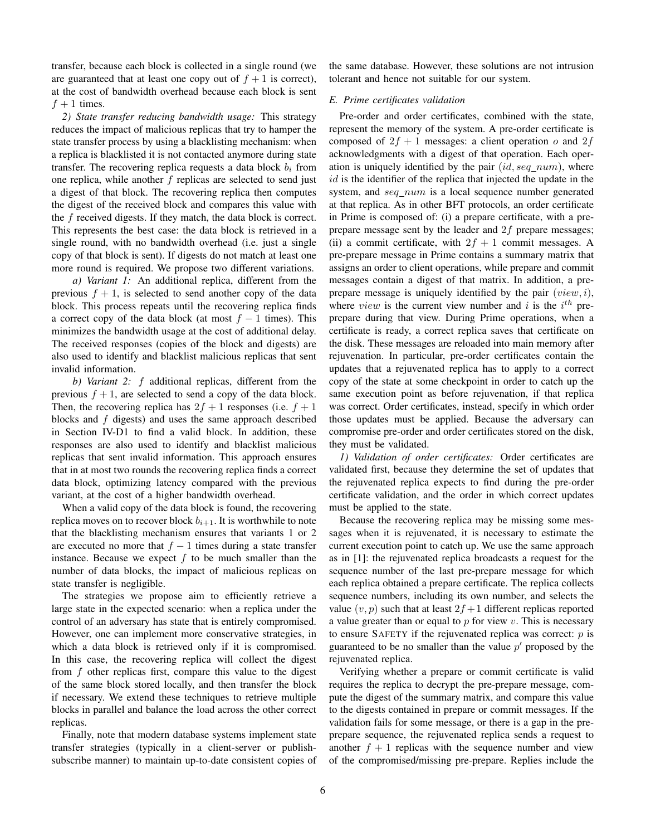transfer, because each block is collected in a single round (we are guaranteed that at least one copy out of  $f + 1$  is correct), at the cost of bandwidth overhead because each block is sent  $f + 1$  times.

*2) State transfer reducing bandwidth usage:* This strategy reduces the impact of malicious replicas that try to hamper the state transfer process by using a blacklisting mechanism: when a replica is blacklisted it is not contacted anymore during state transfer. The recovering replica requests a data block  $b_i$  from one replica, while another  $f$  replicas are selected to send just a digest of that block. The recovering replica then computes the digest of the received block and compares this value with the f received digests. If they match, the data block is correct. This represents the best case: the data block is retrieved in a single round, with no bandwidth overhead (i.e. just a single copy of that block is sent). If digests do not match at least one more round is required. We propose two different variations.

*a) Variant 1:* An additional replica, different from the previous  $f + 1$ , is selected to send another copy of the data block. This process repeats until the recovering replica finds a correct copy of the data block (at most  $f - 1$  times). This minimizes the bandwidth usage at the cost of additional delay. The received responses (copies of the block and digests) are also used to identify and blacklist malicious replicas that sent invalid information.

*b) Variant 2:* f additional replicas, different from the previous  $f + 1$ , are selected to send a copy of the data block. Then, the recovering replica has  $2f + 1$  responses (i.e.  $f + 1$ ) blocks and f digests) and uses the same approach described in Section IV-D1 to find a valid block. In addition, these responses are also used to identify and blacklist malicious replicas that sent invalid information. This approach ensures that in at most two rounds the recovering replica finds a correct data block, optimizing latency compared with the previous variant, at the cost of a higher bandwidth overhead.

When a valid copy of the data block is found, the recovering replica moves on to recover block  $b_{i+1}$ . It is worthwhile to note that the blacklisting mechanism ensures that variants 1 or 2 are executed no more that  $f - 1$  times during a state transfer instance. Because we expect  $f$  to be much smaller than the number of data blocks, the impact of malicious replicas on state transfer is negligible.

The strategies we propose aim to efficiently retrieve a large state in the expected scenario: when a replica under the control of an adversary has state that is entirely compromised. However, one can implement more conservative strategies, in which a data block is retrieved only if it is compromised. In this case, the recovering replica will collect the digest from  $f$  other replicas first, compare this value to the digest of the same block stored locally, and then transfer the block if necessary. We extend these techniques to retrieve multiple blocks in parallel and balance the load across the other correct replicas.

Finally, note that modern database systems implement state transfer strategies (typically in a client-server or publishsubscribe manner) to maintain up-to-date consistent copies of the same database. However, these solutions are not intrusion tolerant and hence not suitable for our system.

# *E. Prime certificates validation*

Pre-order and order certificates, combined with the state, represent the memory of the system. A pre-order certificate is composed of  $2f + 1$  messages: a client operation o and  $2f$ acknowledgments with a digest of that operation. Each operation is uniquely identified by the pair  $(id, seq\_num)$ , where  $id$  is the identifier of the replica that injected the update in the system, and seq\_num is a local sequence number generated at that replica. As in other BFT protocols, an order certificate in Prime is composed of: (i) a prepare certificate, with a preprepare message sent by the leader and 2f prepare messages; (ii) a commit certificate, with  $2f + 1$  commit messages. A pre-prepare message in Prime contains a summary matrix that assigns an order to client operations, while prepare and commit messages contain a digest of that matrix. In addition, a preprepare message is uniquely identified by the pair  $(view, i)$ , where *view* is the current view number and i is the  $i^{th}$  preprepare during that view. During Prime operations, when a certificate is ready, a correct replica saves that certificate on the disk. These messages are reloaded into main memory after rejuvenation. In particular, pre-order certificates contain the updates that a rejuvenated replica has to apply to a correct copy of the state at some checkpoint in order to catch up the same execution point as before rejuvenation, if that replica was correct. Order certificates, instead, specify in which order those updates must be applied. Because the adversary can compromise pre-order and order certificates stored on the disk, they must be validated.

*1) Validation of order certificates:* Order certificates are validated first, because they determine the set of updates that the rejuvenated replica expects to find during the pre-order certificate validation, and the order in which correct updates must be applied to the state.

Because the recovering replica may be missing some messages when it is rejuvenated, it is necessary to estimate the current execution point to catch up. We use the same approach as in [1]: the rejuvenated replica broadcasts a request for the sequence number of the last pre-prepare message for which each replica obtained a prepare certificate. The replica collects sequence numbers, including its own number, and selects the value  $(v, p)$  such that at least  $2f + 1$  different replicas reported a value greater than or equal to  $p$  for view  $v$ . This is necessary to ensure SAFETY if the rejuvenated replica was correct:  $p$  is guaranteed to be no smaller than the value  $p'$  proposed by the rejuvenated replica.

Verifying whether a prepare or commit certificate is valid requires the replica to decrypt the pre-prepare message, compute the digest of the summary matrix, and compare this value to the digests contained in prepare or commit messages. If the validation fails for some message, or there is a gap in the preprepare sequence, the rejuvenated replica sends a request to another  $f + 1$  replicas with the sequence number and view of the compromised/missing pre-prepare. Replies include the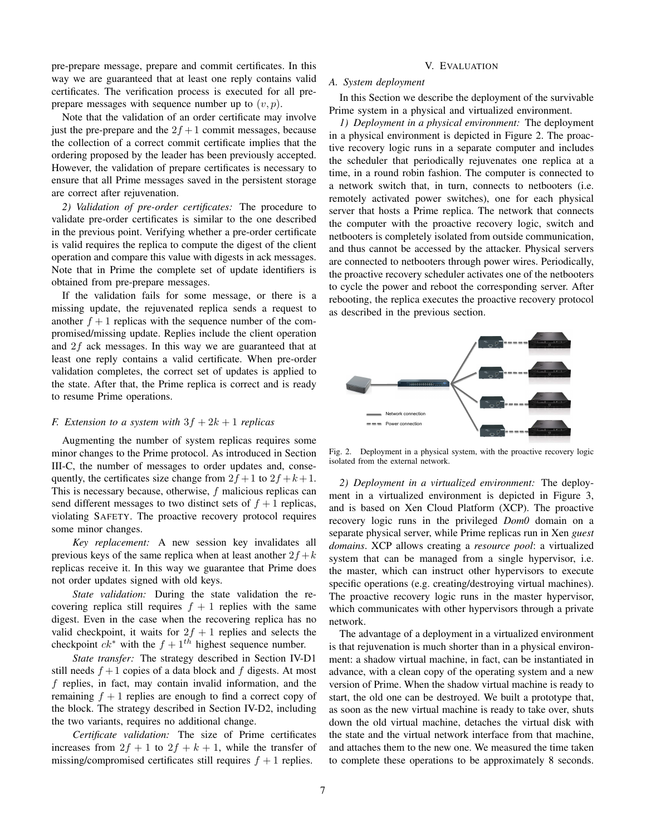pre-prepare message, prepare and commit certificates. In this way we are guaranteed that at least one reply contains valid certificates. The verification process is executed for all preprepare messages with sequence number up to  $(v, p)$ .

Note that the validation of an order certificate may involve just the pre-prepare and the  $2f + 1$  commit messages, because the collection of a correct commit certificate implies that the ordering proposed by the leader has been previously accepted. However, the validation of prepare certificates is necessary to ensure that all Prime messages saved in the persistent storage are correct after rejuvenation.

*2) Validation of pre-order certificates:* The procedure to validate pre-order certificates is similar to the one described in the previous point. Verifying whether a pre-order certificate is valid requires the replica to compute the digest of the client operation and compare this value with digests in ack messages. Note that in Prime the complete set of update identifiers is obtained from pre-prepare messages.

If the validation fails for some message, or there is a missing update, the rejuvenated replica sends a request to another  $f + 1$  replicas with the sequence number of the compromised/missing update. Replies include the client operation and  $2f$  ack messages. In this way we are guaranteed that at least one reply contains a valid certificate. When pre-order validation completes, the correct set of updates is applied to the state. After that, the Prime replica is correct and is ready to resume Prime operations.

# *F.* Extension to a system with  $3f + 2k + 1$  *replicas*

Augmenting the number of system replicas requires some minor changes to the Prime protocol. As introduced in Section III-C, the number of messages to order updates and, consequently, the certificates size change from  $2f + 1$  to  $2f + k + 1$ . This is necessary because, otherwise,  $f$  malicious replicas can send different messages to two distinct sets of  $f + 1$  replicas, violating SAFETY. The proactive recovery protocol requires some minor changes.

*Key replacement:* A new session key invalidates all previous keys of the same replica when at least another  $2f + k$ replicas receive it. In this way we guarantee that Prime does not order updates signed with old keys.

*State validation:* During the state validation the recovering replica still requires  $f + 1$  replies with the same digest. Even in the case when the recovering replica has no valid checkpoint, it waits for  $2f + 1$  replies and selects the checkpoint  $ck^*$  with the  $f + 1<sup>th</sup>$  highest sequence number.

*State transfer:* The strategy described in Section IV-D1 still needs  $f + 1$  copies of a data block and f digests. At most  $f$  replies, in fact, may contain invalid information, and the remaining  $f + 1$  replies are enough to find a correct copy of the block. The strategy described in Section IV-D2, including the two variants, requires no additional change.

*Certificate validation:* The size of Prime certificates increases from  $2f + 1$  to  $2f + k + 1$ , while the transfer of missing/compromised certificates still requires  $f + 1$  replies.

## V. EVALUATION

# *A. System deployment*

In this Section we describe the deployment of the survivable Prime system in a physical and virtualized environment.

*1) Deployment in a physical environment:* The deployment in a physical environment is depicted in Figure 2. The proactive recovery logic runs in a separate computer and includes the scheduler that periodically rejuvenates one replica at a time, in a round robin fashion. The computer is connected to a network switch that, in turn, connects to netbooters (i.e. remotely activated power switches), one for each physical server that hosts a Prime replica. The network that connects the computer with the proactive recovery logic, switch and netbooters is completely isolated from outside communication, and thus cannot be accessed by the attacker. Physical servers are connected to netbooters through power wires. Periodically, the proactive recovery scheduler activates one of the netbooters to cycle the power and reboot the corresponding server. After rebooting, the replica executes the proactive recovery protocol as described in the previous section.



Fig. 2. Deployment in a physical system, with the proactive recovery logic isolated from the external network.

*2) Deployment in a virtualized environment:* The deployment in a virtualized environment is depicted in Figure 3, and is based on Xen Cloud Platform (XCP). The proactive recovery logic runs in the privileged *Dom0* domain on a separate physical server, while Prime replicas run in Xen *guest domains*. XCP allows creating a *resource pool*: a virtualized system that can be managed from a single hypervisor, i.e. the master, which can instruct other hypervisors to execute specific operations (e.g. creating/destroying virtual machines). The proactive recovery logic runs in the master hypervisor, which communicates with other hypervisors through a private network.

The advantage of a deployment in a virtualized environment is that rejuvenation is much shorter than in a physical environment: a shadow virtual machine, in fact, can be instantiated in advance, with a clean copy of the operating system and a new version of Prime. When the shadow virtual machine is ready to start, the old one can be destroyed. We built a prototype that, as soon as the new virtual machine is ready to take over, shuts down the old virtual machine, detaches the virtual disk with the state and the virtual network interface from that machine, and attaches them to the new one. We measured the time taken to complete these operations to be approximately 8 seconds.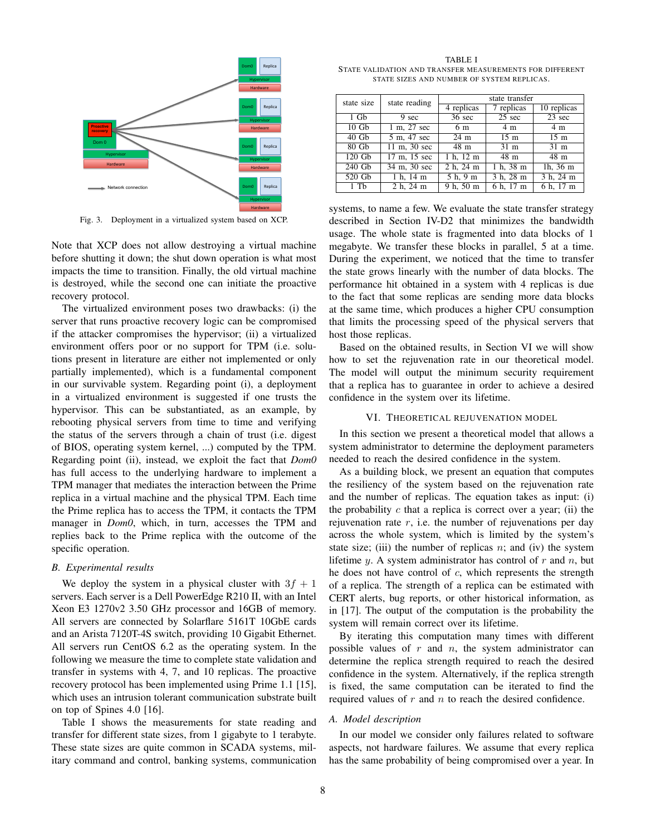

Fig. 3. Deployment in a virtualized system based on XCP.

Note that XCP does not allow destroying a virtual machine before shutting it down; the shut down operation is what most impacts the time to transition. Finally, the old virtual machine is destroyed, while the second one can initiate the proactive recovery protocol.

The virtualized environment poses two drawbacks: (i) the server that runs proactive recovery logic can be compromised if the attacker compromises the hypervisor; (ii) a virtualized environment offers poor or no support for TPM (i.e. solutions present in literature are either not implemented or only partially implemented), which is a fundamental component in our survivable system. Regarding point (i), a deployment in a virtualized environment is suggested if one trusts the hypervisor. This can be substantiated, as an example, by rebooting physical servers from time to time and verifying the status of the servers through a chain of trust (i.e. digest of BIOS, operating system kernel, ...) computed by the TPM. Regarding point (ii), instead, we exploit the fact that *Dom0* has full access to the underlying hardware to implement a TPM manager that mediates the interaction between the Prime replica in a virtual machine and the physical TPM. Each time the Prime replica has to access the TPM, it contacts the TPM manager in *Dom0*, which, in turn, accesses the TPM and replies back to the Prime replica with the outcome of the specific operation.

## *B. Experimental results*

We deploy the system in a physical cluster with  $3f + 1$ servers. Each server is a Dell PowerEdge R210 II, with an Intel Xeon E3 1270v2 3.50 GHz processor and 16GB of memory. All servers are connected by Solarflare 5161T 10GbE cards and an Arista 7120T-4S switch, providing 10 Gigabit Ethernet. All servers run CentOS 6.2 as the operating system. In the following we measure the time to complete state validation and transfer in systems with 4, 7, and 10 replicas. The proactive recovery protocol has been implemented using Prime 1.1 [15], which uses an intrusion tolerant communication substrate built on top of Spines 4.0 [16].

Table I shows the measurements for state reading and transfer for different state sizes, from 1 gigabyte to 1 terabyte. These state sizes are quite common in SCADA systems, military command and control, banking systems, communication

TABLE I STATE VALIDATION AND TRANSFER MEASUREMENTS FOR DIFFERENT STATE SIZES AND NUMBER OF SYSTEM REPLICAS.

| state size | state reading | state transfer      |                  |                 |
|------------|---------------|---------------------|------------------|-----------------|
|            |               | 4 replicas          | 7 replicas       | 10 replicas     |
| $1$ Gb     | 9 sec         | $36 \text{ sec}$    | $25 \text{ sec}$ | 23 sec          |
| $10\,$ Gb  | 1 m, 27 sec   | 6 m                 | 4 m              | 4 m             |
| $40$ Gb    | 5 m, 47 sec   | $24 \text{ m}$      | $15 \text{ m}$   | 15 <sub>m</sub> |
| $80$ Gb    | 11 m. 30 sec  | 48 m                | $31 \text{ m}$   | $31 \text{ m}$  |
| $120$ Gb   | 17 m, 15 sec  | 1 h. 12 m           | 48 m             | 48 m            |
| $240$ Gb   | 34 m, 30 sec  | 2 h, $24 \text{ m}$ | 1 h, 38 m        | 1h, 36 m        |
| 520 Gb     | 1 h, 14 m     | 5h.9m               | 3 h, 28 m        | 3 h, 24 m       |
| $1$ Tb     | 2 h, 24 m     | 9 h, 50 m           | 6 h, 17 m        | 6 h, 17 m       |

systems, to name a few. We evaluate the state transfer strategy described in Section IV-D2 that minimizes the bandwidth usage. The whole state is fragmented into data blocks of 1 megabyte. We transfer these blocks in parallel, 5 at a time. During the experiment, we noticed that the time to transfer the state grows linearly with the number of data blocks. The performance hit obtained in a system with 4 replicas is due to the fact that some replicas are sending more data blocks at the same time, which produces a higher CPU consumption that limits the processing speed of the physical servers that host those replicas.

Based on the obtained results, in Section VI we will show how to set the rejuvenation rate in our theoretical model. The model will output the minimum security requirement that a replica has to guarantee in order to achieve a desired confidence in the system over its lifetime.

## VI. THEORETICAL REJUVENATION MODEL

In this section we present a theoretical model that allows a system administrator to determine the deployment parameters needed to reach the desired confidence in the system.

As a building block, we present an equation that computes the resiliency of the system based on the rejuvenation rate and the number of replicas. The equation takes as input: (i) the probability  $c$  that a replica is correct over a year; (ii) the rejuvenation rate  $r$ , i.e. the number of rejuvenations per day across the whole system, which is limited by the system's state size; (iii) the number of replicas  $n$ ; and (iv) the system lifetime  $y$ . A system administrator has control of  $r$  and  $n$ , but he does not have control of  $c$ , which represents the strength of a replica. The strength of a replica can be estimated with CERT alerts, bug reports, or other historical information, as in [17]. The output of the computation is the probability the system will remain correct over its lifetime.

By iterating this computation many times with different possible values of  $r$  and  $n$ , the system administrator can determine the replica strength required to reach the desired confidence in the system. Alternatively, if the replica strength is fixed, the same computation can be iterated to find the required values of  $r$  and  $n$  to reach the desired confidence.

## *A. Model description*

In our model we consider only failures related to software aspects, not hardware failures. We assume that every replica has the same probability of being compromised over a year. In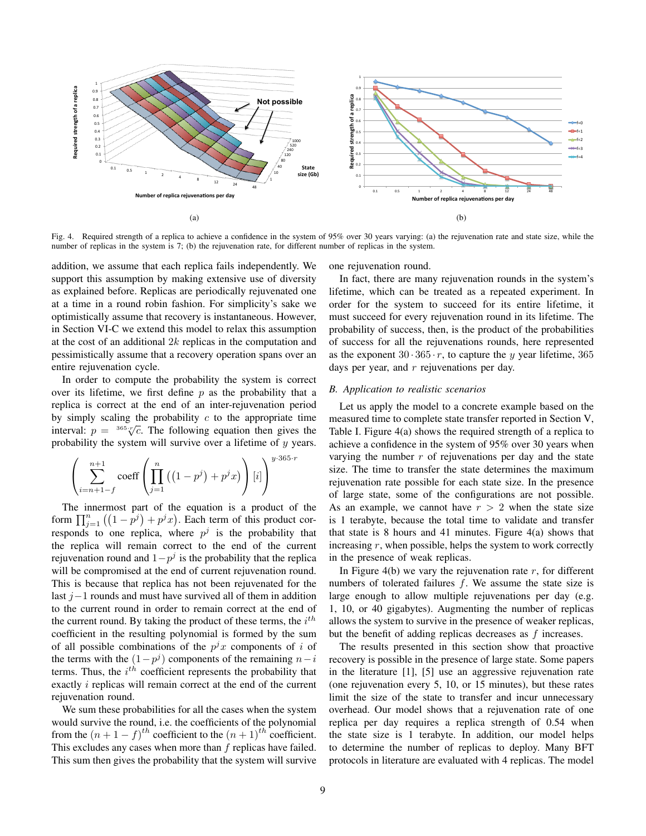

Fig. 4. Required strength of a replica to achieve a confidence in the system of 95% over 30 years varying: (a) the rejuvenation rate and state size, while the number of replicas in the system is 7; (b) the rejuvenation rate, for different number of replicas in the system.

addition, we assume that each replica fails independently. We support this assumption by making extensive use of diversity as explained before. Replicas are periodically rejuvenated one at a time in a round robin fashion. For simplicity's sake we optimistically assume that recovery is instantaneous. However, in Section VI-C we extend this model to relax this assumption at the cost of an additional  $2k$  replicas in the computation and pessimistically assume that a recovery operation spans over an entire rejuvenation cycle.

In order to compute the probability the system is correct over its lifetime, we first define  $p$  as the probability that a replica is correct at the end of an inter-rejuvenation period by simply scaling the probability  $c$  to the appropriate time by simply scaling the probability c to the appropriate time<br>interval:  $p = \frac{365\sqrt{C}}{C}$ . The following equation then gives the probability the system will survive over a lifetime of  $y$  years.

$$
\left(\sum_{i=n+1-f}^{n+1} \operatorname{coeff}\left(\prod_{j=1}^n \left((1-p^j)+p^jx\right)\right)[i]\right)^{y\cdot 365\cdot r}
$$

The innermost part of the equation is a product of the form  $\prod_{j=1}^{n} ((1-p^{j}) + p^{j}x)$ . Each term of this product corresponds to one replica, where  $p^j$  is the probability that the replica will remain correct to the end of the current rejuvenation round and  $1-p^j$  is the probability that the replica will be compromised at the end of current rejuvenation round. This is because that replica has not been rejuvenated for the last  $j-1$  rounds and must have survived all of them in addition to the current round in order to remain correct at the end of the current round. By taking the product of these terms, the  $i<sup>th</sup>$ coefficient in the resulting polynomial is formed by the sum of all possible combinations of the  $p^j x$  components of i of the terms with the  $(1-p<sup>j</sup>)$  components of the remaining  $n-i$ terms. Thus, the  $i<sup>th</sup>$  coefficient represents the probability that exactly i replicas will remain correct at the end of the current rejuvenation round.

We sum these probabilities for all the cases when the system would survive the round, i.e. the coefficients of the polynomial from the  $(n+1-f)^{th}$  coefficient to the  $(n+1)^{th}$  coefficient. This excludes any cases when more than  $f$  replicas have failed. This sum then gives the probability that the system will survive one rejuvenation round.

In fact, there are many rejuvenation rounds in the system's lifetime, which can be treated as a repeated experiment. In order for the system to succeed for its entire lifetime, it must succeed for every rejuvenation round in its lifetime. The probability of success, then, is the product of the probabilities of success for all the rejuvenations rounds, here represented as the exponent  $30 \cdot 365 \cdot r$ , to capture the y year lifetime, 365 days per year, and  $r$  rejuvenations per day.

#### *B. Application to realistic scenarios*

Let us apply the model to a concrete example based on the measured time to complete state transfer reported in Section V, Table I. Figure 4(a) shows the required strength of a replica to achieve a confidence in the system of 95% over 30 years when varying the number  $r$  of rejuvenations per day and the state size. The time to transfer the state determines the maximum rejuvenation rate possible for each state size. In the presence of large state, some of the configurations are not possible. As an example, we cannot have  $r > 2$  when the state size is 1 terabyte, because the total time to validate and transfer that state is 8 hours and 41 minutes. Figure  $4(a)$  shows that increasing  $r$ , when possible, helps the system to work correctly in the presence of weak replicas.

In Figure 4(b) we vary the rejuvenation rate  $r$ , for different numbers of tolerated failures  $f$ . We assume the state size is large enough to allow multiple rejuvenations per day (e.g. 1, 10, or 40 gigabytes). Augmenting the number of replicas allows the system to survive in the presence of weaker replicas, but the benefit of adding replicas decreases as f increases.

The results presented in this section show that proactive recovery is possible in the presence of large state. Some papers in the literature [1], [5] use an aggressive rejuvenation rate (one rejuvenation every 5, 10, or 15 minutes), but these rates limit the size of the state to transfer and incur unnecessary overhead. Our model shows that a rejuvenation rate of one replica per day requires a replica strength of 0.54 when the state size is 1 terabyte. In addition, our model helps to determine the number of replicas to deploy. Many BFT protocols in literature are evaluated with 4 replicas. The model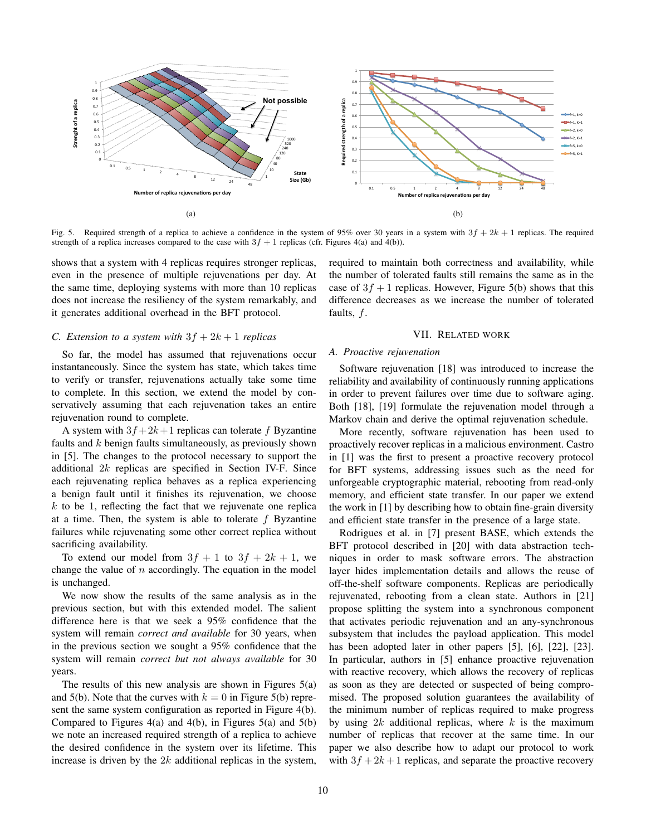

Fig. 5. Required strength of a replica to achieve a confidence in the system of 95% over 30 years in a system with  $3f + 2k + 1$  replicas. The required strength of a replica increases compared to the case with  $3f + 1$  replicas (cfr. Figures 4(a) and 4(b)).

shows that a system with 4 replicas requires stronger replicas, even in the presence of multiple rejuvenations per day. At the same time, deploying systems with more than 10 replicas does not increase the resiliency of the system remarkably, and it generates additional overhead in the BFT protocol.

# *C. Extension to a system with*  $3f + 2k + 1$  *replicas*

So far, the model has assumed that rejuvenations occur instantaneously. Since the system has state, which takes time to verify or transfer, rejuvenations actually take some time to complete. In this section, we extend the model by conservatively assuming that each rejuvenation takes an entire rejuvenation round to complete.

A system with  $3f + 2k + 1$  replicas can tolerate f Byzantine faults and k benign faults simultaneously, as previously shown in [5]. The changes to the protocol necessary to support the additional  $2k$  replicas are specified in Section IV-F. Since each rejuvenating replica behaves as a replica experiencing a benign fault until it finishes its rejuvenation, we choose  $k$  to be 1, reflecting the fact that we rejuvenate one replica at a time. Then, the system is able to tolerate  $f$  Byzantine failures while rejuvenating some other correct replica without sacrificing availability.

To extend our model from  $3f + 1$  to  $3f + 2k + 1$ , we change the value of  $n$  accordingly. The equation in the model is unchanged.

We now show the results of the same analysis as in the previous section, but with this extended model. The salient difference here is that we seek a 95% confidence that the system will remain *correct and available* for 30 years, when in the previous section we sought a 95% confidence that the system will remain *correct but not always available* for 30 years.

The results of this new analysis are shown in Figures  $5(a)$ and 5(b). Note that the curves with  $k = 0$  in Figure 5(b) represent the same system configuration as reported in Figure 4(b). Compared to Figures  $4(a)$  and  $4(b)$ , in Figures  $5(a)$  and  $5(b)$ we note an increased required strength of a replica to achieve the desired confidence in the system over its lifetime. This increase is driven by the  $2k$  additional replicas in the system, required to maintain both correctness and availability, while the number of tolerated faults still remains the same as in the case of  $3f + 1$  replicas. However, Figure 5(b) shows that this difference decreases as we increase the number of tolerated faults,  $f$ .

# VII. RELATED WORK

## *A. Proactive rejuvenation*

Software rejuvenation [18] was introduced to increase the reliability and availability of continuously running applications in order to prevent failures over time due to software aging. Both [18], [19] formulate the rejuvenation model through a Markov chain and derive the optimal rejuvenation schedule.

More recently, software rejuvenation has been used to proactively recover replicas in a malicious environment. Castro in [1] was the first to present a proactive recovery protocol for BFT systems, addressing issues such as the need for unforgeable cryptographic material, rebooting from read-only memory, and efficient state transfer. In our paper we extend the work in [1] by describing how to obtain fine-grain diversity and efficient state transfer in the presence of a large state.

Rodrigues et al. in [7] present BASE, which extends the BFT protocol described in [20] with data abstraction techniques in order to mask software errors. The abstraction layer hides implementation details and allows the reuse of off-the-shelf software components. Replicas are periodically rejuvenated, rebooting from a clean state. Authors in [21] propose splitting the system into a synchronous component that activates periodic rejuvenation and an any-synchronous subsystem that includes the payload application. This model has been adopted later in other papers [5], [6], [22], [23]. In particular, authors in [5] enhance proactive rejuvenation with reactive recovery, which allows the recovery of replicas as soon as they are detected or suspected of being compromised. The proposed solution guarantees the availability of the minimum number of replicas required to make progress by using  $2k$  additional replicas, where k is the maximum number of replicas that recover at the same time. In our paper we also describe how to adapt our protocol to work with  $3f + 2k + 1$  replicas, and separate the proactive recovery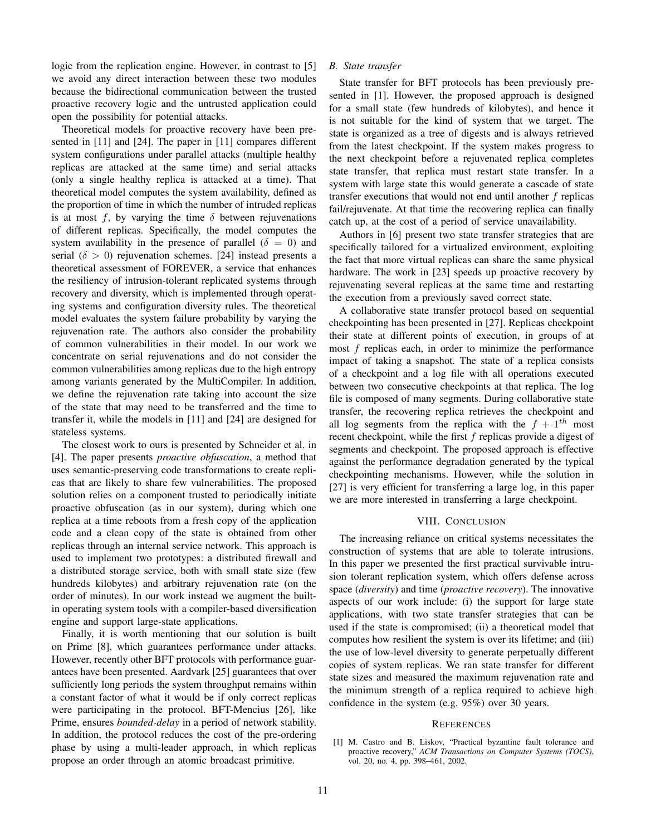logic from the replication engine. However, in contrast to [5] we avoid any direct interaction between these two modules because the bidirectional communication between the trusted proactive recovery logic and the untrusted application could open the possibility for potential attacks.

Theoretical models for proactive recovery have been presented in [11] and [24]. The paper in [11] compares different system configurations under parallel attacks (multiple healthy replicas are attacked at the same time) and serial attacks (only a single healthy replica is attacked at a time). That theoretical model computes the system availability, defined as the proportion of time in which the number of intruded replicas is at most f, by varying the time  $\delta$  between rejuvenations of different replicas. Specifically, the model computes the system availability in the presence of parallel ( $\delta = 0$ ) and serial ( $\delta > 0$ ) rejuvenation schemes. [24] instead presents a theoretical assessment of FOREVER, a service that enhances the resiliency of intrusion-tolerant replicated systems through recovery and diversity, which is implemented through operating systems and configuration diversity rules. The theoretical model evaluates the system failure probability by varying the rejuvenation rate. The authors also consider the probability of common vulnerabilities in their model. In our work we concentrate on serial rejuvenations and do not consider the common vulnerabilities among replicas due to the high entropy among variants generated by the MultiCompiler. In addition, we define the rejuvenation rate taking into account the size of the state that may need to be transferred and the time to transfer it, while the models in [11] and [24] are designed for stateless systems.

The closest work to ours is presented by Schneider et al. in [4]. The paper presents *proactive obfuscation*, a method that uses semantic-preserving code transformations to create replicas that are likely to share few vulnerabilities. The proposed solution relies on a component trusted to periodically initiate proactive obfuscation (as in our system), during which one replica at a time reboots from a fresh copy of the application code and a clean copy of the state is obtained from other replicas through an internal service network. This approach is used to implement two prototypes: a distributed firewall and a distributed storage service, both with small state size (few hundreds kilobytes) and arbitrary rejuvenation rate (on the order of minutes). In our work instead we augment the builtin operating system tools with a compiler-based diversification engine and support large-state applications.

Finally, it is worth mentioning that our solution is built on Prime [8], which guarantees performance under attacks. However, recently other BFT protocols with performance guarantees have been presented. Aardvark [25] guarantees that over sufficiently long periods the system throughput remains within a constant factor of what it would be if only correct replicas were participating in the protocol. BFT-Mencius [26], like Prime, ensures *bounded-delay* in a period of network stability. In addition, the protocol reduces the cost of the pre-ordering phase by using a multi-leader approach, in which replicas propose an order through an atomic broadcast primitive.

## *B. State transfer*

State transfer for BFT protocols has been previously presented in [1]. However, the proposed approach is designed for a small state (few hundreds of kilobytes), and hence it is not suitable for the kind of system that we target. The state is organized as a tree of digests and is always retrieved from the latest checkpoint. If the system makes progress to the next checkpoint before a rejuvenated replica completes state transfer, that replica must restart state transfer. In a system with large state this would generate a cascade of state transfer executions that would not end until another  $f$  replicas fail/rejuvenate. At that time the recovering replica can finally catch up, at the cost of a period of service unavailability.

Authors in [6] present two state transfer strategies that are specifically tailored for a virtualized environment, exploiting the fact that more virtual replicas can share the same physical hardware. The work in [23] speeds up proactive recovery by rejuvenating several replicas at the same time and restarting the execution from a previously saved correct state.

A collaborative state transfer protocol based on sequential checkpointing has been presented in [27]. Replicas checkpoint their state at different points of execution, in groups of at most  $f$  replicas each, in order to minimize the performance impact of taking a snapshot. The state of a replica consists of a checkpoint and a log file with all operations executed between two consecutive checkpoints at that replica. The log file is composed of many segments. During collaborative state transfer, the recovering replica retrieves the checkpoint and all log segments from the replica with the  $f + 1<sup>th</sup>$  most recent checkpoint, while the first f replicas provide a digest of segments and checkpoint. The proposed approach is effective against the performance degradation generated by the typical checkpointing mechanisms. However, while the solution in [27] is very efficient for transferring a large log, in this paper we are more interested in transferring a large checkpoint.

# VIII. CONCLUSION

The increasing reliance on critical systems necessitates the construction of systems that are able to tolerate intrusions. In this paper we presented the first practical survivable intrusion tolerant replication system, which offers defense across space (*diversity*) and time (*proactive recovery*). The innovative aspects of our work include: (i) the support for large state applications, with two state transfer strategies that can be used if the state is compromised; (ii) a theoretical model that computes how resilient the system is over its lifetime; and (iii) the use of low-level diversity to generate perpetually different copies of system replicas. We ran state transfer for different state sizes and measured the maximum rejuvenation rate and the minimum strength of a replica required to achieve high confidence in the system (e.g. 95%) over 30 years.

## **REFERENCES**

[1] M. Castro and B. Liskov, "Practical byzantine fault tolerance and proactive recovery," *ACM Transactions on Computer Systems (TOCS)*, vol. 20, no. 4, pp. 398–461, 2002.